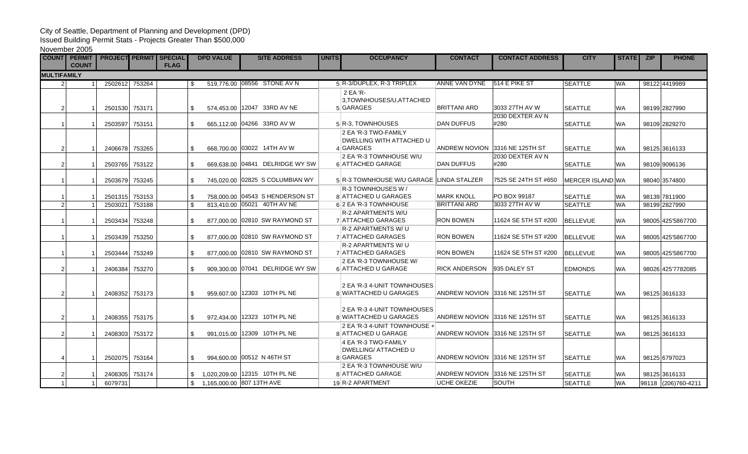## City of Seattle, Department of Planning and Development (DPD)

Issued Building Permit Stats - Projects Greater Than \$500,000

November 2005

|                    | <b>COUNT PERMIT</b><br><b>COUNT</b> | <b>PROJECT PERMIT SPECIAL</b> |        | <b>FLAG</b> | <b>DPD VALUE</b>            | <b>SITE ADDRESS</b>             | <b>UNITS</b> | <b>OCCUPANCY</b>                                               | <b>CONTACT</b>       | <b>CONTACT ADDRESS</b>          | <b>CITY</b>             | <b>STATE</b> | <b>PHONE</b><br><b>ZIP</b> |
|--------------------|-------------------------------------|-------------------------------|--------|-------------|-----------------------------|---------------------------------|--------------|----------------------------------------------------------------|----------------------|---------------------------------|-------------------------|--------------|----------------------------|
| <b>MULTIFAMILY</b> |                                     |                               |        |             |                             |                                 |              |                                                                |                      |                                 |                         |              |                            |
|                    |                                     | 2502612 753264                |        |             | \$.                         | 519,776.00 08556 STONE AV N     |              | 5 R-3/DUPLEX, R-3 TRIPLEX                                      | ANNE VAN DYNE        | 514 E PIKE ST                   | <b>SEATTLE</b>          | <b>WA</b>    | 98122 4419989              |
|                    |                                     |                               |        |             |                             |                                 |              | 2 EA 'R-                                                       |                      |                                 |                         |              |                            |
| 2                  |                                     | 2501530 753171                |        |             | \$.                         | 574,453.00 12047 33RD AV NE     |              | 3, TOWNHOUSES/U, ATTACHED<br>5 GARAGES                         | <b>BRITTANI ARD</b>  | 3033 27TH AV W                  | <b>SEATTLE</b>          | <b>WA</b>    | 98199 2827990              |
|                    |                                     | 2503597                       | 753151 |             | \$                          | 665,112.00 04266 33RD AV W      |              | 5 R-3, TOWNHOUSES                                              | <b>DAN DUFFUS</b>    | 2030 DEXTER AV N<br>#280        | <b>SEATTLE</b>          | WA.          | 98109 2829270              |
|                    |                                     |                               |        |             |                             |                                 |              | 2 EA 'R-3 TWO-FAMILY                                           |                      |                                 |                         |              |                            |
| $\overline{2}$     |                                     | 2406678 753265                |        |             | \$                          | 668,700.00 03022 14TH AV W      |              | DWELLING WITH ATTACHED U<br>4 GARAGES                          |                      | ANDREW NOVION 13316 NE 125TH ST | <b>SEATTLE</b>          | WA.          | 98125 3616133              |
| $\overline{2}$     |                                     | 2503765                       | 753122 |             | \$                          | 669,638.00 04841 DELRIDGE WY SW |              | 2 EA 'R-3 TOWNHOUSE W/U<br>6 ATTACHED GARAGE                   | <b>DAN DUFFUS</b>    | 2030 DEXTER AV N<br>#280        | <b>SEATTLE</b>          | WA.          | 98109 9096136              |
|                    |                                     |                               |        |             |                             |                                 |              |                                                                |                      |                                 |                         |              |                            |
|                    |                                     | 2503679                       | 753245 |             | \$                          | 745,020,00 02825 S COLUMBIAN WY |              | 5 R-3 TOWNHOUSE W/U GARAGE LINDA STALZER<br>R-3 TOWNHOUSES W / |                      | 7525 SE 24TH ST #650            | <b>MERCER ISLAND WA</b> |              | 98040 3574800              |
|                    |                                     | 2501315                       | 753153 |             | \$                          | 758,000,00 04543 S HENDERSON ST |              | 8 ATTACHED U GARAGES                                           | <b>MARK KNOLL</b>    | PO BOX 99187                    | <b>SEATTLE</b>          | <b>WA</b>    | 98139 7811900              |
| $\overline{2}$     |                                     | 2503021                       | 753188 |             | \$                          | 813.410.00 05021 40TH AV NE     |              | 6 2 EA 'R-3 TOWNHOUSE                                          | <b>BRITTANI ARD</b>  | 3033 27TH AV W                  | <b>SEATTLE</b>          | <b>WA</b>    | 98199 2827990              |
|                    |                                     | 2503434                       | 753248 |             | \$                          | 877,000.00 02810 SW RAYMOND ST  |              | <b>R-2 APARTMENTS W/U</b><br>7 ATTACHED GARAGES                | <b>RON BOWEN</b>     | 11624 SE 5TH ST #200            | <b>BELLEVUE</b>         | <b>WA</b>    | 98005 425 5867700          |
|                    |                                     |                               |        |             |                             |                                 |              | R-2 APARTMENTS W/U                                             |                      |                                 |                         |              |                            |
|                    |                                     | 2503439                       | 753250 |             | \$                          | 877,000.00 02810 SW RAYMOND ST  |              | 7 ATTACHED GARAGES<br>R-2 APARTMENTS W/U                       | <b>RON BOWEN</b>     | 11624 SE 5TH ST #200            | <b>BELLEVUE</b>         | <b>WA</b>    | 98005 425 5867700          |
|                    |                                     | 2503444                       | 753249 |             | \$                          | 877,000.00 02810 SW RAYMOND ST  |              | 7 ATTACHED GARAGES                                             | <b>RON BOWEN</b>     | 11624 SE 5TH ST #200            | BELLEVUE                | <b>WA</b>    | 98005 425 5867700          |
| $\overline{2}$     |                                     | 2406384                       | 753270 |             | \$                          | 909,300.00 07041 DELRIDGE WY SW |              | 2 EA 'R-3 TOWNHOUSE W/<br>6 ATTACHED U GARAGE                  | <b>RICK ANDERSON</b> | 935 DALEY ST                    | <b>EDMONDS</b>          | <b>WA</b>    | 98026 425 7782085          |
|                    |                                     |                               |        |             |                             |                                 |              |                                                                |                      |                                 |                         |              |                            |
| $\overline{2}$     |                                     | 2408352 753173                |        |             | \$                          | 959,607.00 12303 10TH PL NE     |              | 2 EA 'R-3 4-UNIT TOWNHOUSES<br>8 W/ATTACHED U GARAGES          |                      | ANDREW NOVION 3316 NE 125TH ST  | <b>SEATTLE</b>          | <b>WA</b>    | 98125 3616133              |
|                    |                                     |                               |        |             |                             |                                 |              |                                                                |                      |                                 |                         |              |                            |
| $\overline{2}$     |                                     | 2408355 753175                |        |             | \$                          | 972,434.00 12323 10TH PL NE     |              | 2 EA 'R-3 4-UNIT TOWNHOUSES<br>8 W/ATTACHED U GARAGES          |                      | ANDREW NOVION 3316 NE 125TH ST  | <b>SEATTLE</b>          | <b>WA</b>    | 98125 3616133              |
| $\overline{2}$     |                                     | 2408303                       | 753172 |             | \$                          | 991,015.00 12309 10TH PL NE     |              | 2 EA 'R-3 4-UNIT TOWNHOUSE +<br>8 ATTACHED U GARAGE            |                      | ANDREW NOVION 3316 NE 125TH ST  | <b>SEATTLE</b>          | <b>WA</b>    | 98125 3616133              |
|                    |                                     |                               |        |             |                             |                                 |              | 4 EA 'R-3 TWO-FAMILY                                           |                      |                                 |                         |              |                            |
| 4                  |                                     | 2502075 753164                |        |             | \$                          | 994,600,00 00512 N 46TH ST      |              | <b>DWELLING/ ATTACHED U</b><br>8 GARAGES                       |                      | ANDREW NOVION 3316 NE 125TH ST  | <b>SEATTLE</b>          | <b>WA</b>    | 98125 6797023              |
| 2                  |                                     | 2408305                       | 753174 |             |                             | 1,020,209.00 12315 10TH PL NE   |              | 2 EA 'R-3 TOWNHOUSE W/U<br>8 ATTACHED GARAGE                   |                      | ANDREW NOVION 3316 NE 125TH ST  | <b>SEATTLE</b>          | <b>WA</b>    | 98125 3616133              |
| $\overline{1}$     |                                     | 6079731                       |        |             | \$1,165,000.00 807 13TH AVE |                                 |              | 19 R-2 APARTMENT                                               | <b>UCHE OKEZIE</b>   | <b>SOUTH</b>                    | <b>SEATTLE</b>          | <b>WA</b>    | 98118 (206)760-4211        |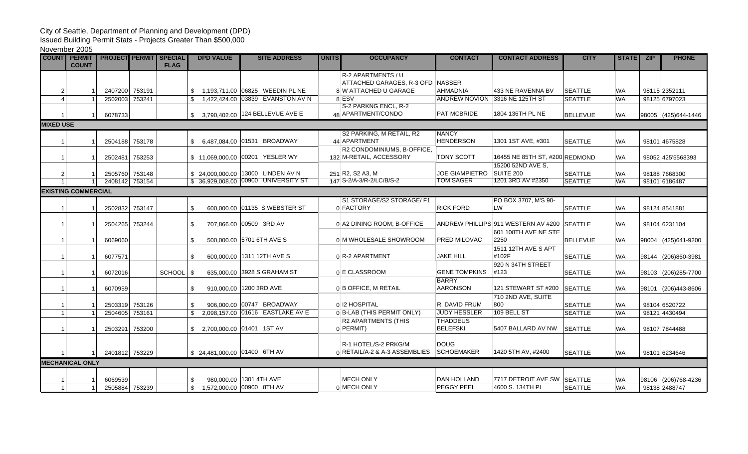## City of Seattle, Department of Planning and Development (DPD)

Issued Building Permit Stats - Projects Greater Than \$500,000

November 2005

| <b>COUNT</b>     | <b>PERMIT</b><br><b>COUNT</b> | <b>PROJECT PERMIT SPECIAL</b> |                | <b>FLAG</b> |              | <b>DPD VALUE</b> | <b>SITE ADDRESS</b>                  | <b>UNITS</b> | <b>OCCUPANCY</b>                           | <b>CONTACT</b>                     | <b>CONTACT ADDRESS</b>              | <b>CITY</b>     | <b>STATE</b> | <b>ZIP</b>    | <b>PHONE</b>         |
|------------------|-------------------------------|-------------------------------|----------------|-------------|--------------|------------------|--------------------------------------|--------------|--------------------------------------------|------------------------------------|-------------------------------------|-----------------|--------------|---------------|----------------------|
|                  |                               |                               |                |             |              |                  |                                      |              | R-2 APARTMENTS / U                         |                                    |                                     |                 |              |               |                      |
|                  |                               |                               |                |             |              |                  |                                      |              | ATTACHED GARAGES, R-3 OFD NASSER           |                                    |                                     |                 |              |               |                      |
| 2                |                               | 2407200                       | 753191         |             |              |                  | 1,193,711.00 06825 WEEDIN PL NE      |              | 8 W ATTACHED U GARAGE                      | <b>AHMADNIA</b>                    | 433 NE RAVENNA BV                   | <b>SEATTLE</b>  | <b>WA</b>    | 98115 2352111 |                      |
|                  |                               | 2502003                       | 753241         |             |              |                  | 1.422.424.00 03839 EVANSTON AV N     |              | 8 ESV                                      | <b>ANDREW NOVION</b>               | 3316 NE 125TH ST                    | <b>SEATTLE</b>  | <b>WA</b>    | 98125 6797023 |                      |
|                  |                               | 6078733                       |                |             |              |                  | \$ 3,790,402.00 124 BELLEVUE AVE E   |              | S-2 PARKNG ENCL, R-2<br>48 APARTMENT/CONDO | PAT MCBRIDE                        | 1804 136TH PL NE                    | <b>BELLEVUE</b> | <b>WA</b>    |               | 98005 (425) 644-1446 |
| <b>MIXED USE</b> |                               |                               |                |             |              |                  |                                      |              |                                            |                                    |                                     |                 |              |               |                      |
|                  |                               |                               |                |             |              |                  |                                      |              | S2 PARKING, M RETAIL, R2                   | <b>NANCY</b>                       |                                     |                 |              |               |                      |
|                  |                               | 2504188                       | 753178         |             |              |                  | \$ 6,487,084.00 01531 BROADWAY       |              | 44 APARTMENT                               | <b>HENDERSON</b>                   | 1301 1ST AVE, #301                  | <b>SEATTLE</b>  | <b>WA</b>    | 98101 4675828 |                      |
|                  |                               |                               |                |             |              |                  |                                      |              | R2 CONDOMINIUMS, B-OFFICE,                 |                                    |                                     |                 |              |               |                      |
|                  |                               | 2502481                       | 753253         |             |              |                  | \$11,069,000.00 00201 YESLER WY      |              | 132 M-RETAIL, ACCESSORY                    | <b>TONY SCOTT</b>                  | 16455 NE 85TH ST, #200 REDMOND      |                 | <b>WA</b>    |               | 98052 425 5568393    |
|                  |                               |                               |                |             |              |                  |                                      |              |                                            |                                    | 15200 52ND AVE S.                   |                 |              |               |                      |
| $\overline{2}$   |                               | 2505760                       | 753148         |             |              |                  | \$24,000,000.00 13000 LINDEN AV N    |              | 251 R2, S2 A3, M                           | <b>JOE GIAMPIETRO</b>              | SUITE 200                           | <b>SEATTLE</b>  | <b>WA</b>    | 98188 7668300 |                      |
|                  |                               | 2408142                       | 753154         |             |              |                  | \$ 36,929,008.00 00900 UNIVERSITY ST |              | 147 S-2/A-3/R-2/LC/B/S-2                   | <b>TOM SAGER</b>                   | 1201 3RD AV #2350                   | <b>SEATTLE</b>  | <b>WA</b>    | 98101 6186487 |                      |
|                  | <b>EXISTING COMMERCIAL</b>    |                               |                |             |              |                  |                                      |              |                                            |                                    |                                     |                 |              |               |                      |
|                  |                               |                               |                |             |              |                  |                                      |              | S1 STORAGE/S2 STORAGE/ F1                  |                                    | PO BOX 3707, M'S 90-                |                 |              |               |                      |
|                  |                               | 2502832                       | 753147         |             | \$           |                  | 600,000,00 01135 S WEBSTER ST        |              | 0 FACTORY                                  | <b>RICK FORD</b>                   | <b>LW</b>                           | <b>SEATTLE</b>  | <b>WA</b>    | 98124 8541881 |                      |
|                  |                               | 2504265                       | 753244         |             | \$           |                  | 707,866.00 00509 3RD AV              |              | 0 A2 DINING ROOM; B-OFFICE                 |                                    | ANDREW PHILLIPS 911 WESTERN AV #200 | <b>SEATTLE</b>  | <b>WA</b>    | 98104 6231104 |                      |
|                  |                               |                               |                |             |              |                  |                                      |              |                                            |                                    | 601 108TH AVE NE STE                |                 |              |               |                      |
|                  |                               | 6069060                       |                |             | \$           |                  | 500,000,00 5701 6TH AVE S            |              | 0 M WHOLESALE SHOWROOM                     | <b>PRED MILOVAC</b>                | 2250                                | <b>BELLEVUE</b> | <b>WA</b>    |               | 98004 (425)641-9200  |
|                  |                               |                               |                |             |              |                  |                                      |              |                                            |                                    | 1511 12TH AVE S APT                 |                 |              |               |                      |
|                  |                               | 6077571                       |                |             | \$           |                  | 600,000.00 1311 12TH AVE S           |              | 0 R-2 APARTMENT                            | <b>JAKE HILL</b>                   | #102F                               | <b>SEATTLE</b>  | <b>WA</b>    |               | 98144 (206)860-3981  |
|                  |                               |                               |                |             |              |                  |                                      |              |                                            |                                    | 920 N 34TH STREET                   |                 |              |               |                      |
|                  |                               | 6072016                       |                | SCHOOL      | \$           |                  | 635,000.00 3928 S GRAHAM ST          |              | 0 E CLASSROOM                              | <b>GENE TOMPKINS</b>               | #123                                | <b>SEATTLE</b>  | <b>WA</b>    |               | 98103 (206) 285-7700 |
|                  |                               |                               |                |             |              |                  |                                      |              |                                            | <b>BARRY</b>                       |                                     |                 |              |               |                      |
|                  |                               | 6070959                       |                |             | \$           |                  | 910,000.00 1200 3RD AVE              |              | 0 B OFFICE, M RETAIL                       | <b>AARONSON</b>                    | 121 STEWART ST #200 SEATTLE         |                 | <b>WA</b>    |               | 98101 (206)443-8606  |
|                  |                               |                               |                |             |              |                  |                                      |              |                                            |                                    | 710 2ND AVE, SUITE                  |                 |              |               |                      |
|                  |                               | 2503319                       | 753126         |             | \$.          |                  | 906.000.00 00747 BROADWAY            |              | 0 12 HOSPITAL                              | R. DAVID FRUM                      | 800                                 | <b>SEATTLE</b>  | <b>WA</b>    | 98104 6520722 |                      |
|                  |                               | 2504605                       | 753161         |             | $\mathbb{S}$ |                  | 2,098,157.00 01616 EASTLAKE AV E     |              | 0 B-LAB (THIS PERMIT ONLY)                 | JUDY HESSLER                       | 109 BELL ST                         | <b>SEATTLE</b>  | <b>WA</b>    | 98121 4430494 |                      |
|                  |                               | 2503291                       | 753200         |             |              |                  | \$ 2,700,000.00 01401 1ST AV         |              | <b>R2 APARTMENTS (THIS</b><br>$0$ PERMIT)  | <b>THADDEUS</b><br><b>BELEFSKI</b> | 5407 BALLARD AV NW                  | <b>SEATTLE</b>  | <b>WA</b>    | 98107 7844488 |                      |
|                  |                               |                               |                |             |              |                  |                                      |              |                                            |                                    |                                     |                 |              |               |                      |
|                  |                               |                               |                |             |              |                  |                                      |              | R-1 HOTEL/S-2 PRKG/M                       | <b>DOUG</b>                        |                                     |                 |              |               |                      |
|                  |                               |                               | 2401812 753229 |             |              |                  | \$24,481,000.00 01400 6TH AV         |              | 0 RETAIL/A-2 & A-3 ASSEMBLIES              | <b>SCHOEMAKER</b>                  | 1420 5TH AV, #2400                  | <b>SEATTLE</b>  | <b>WA</b>    | 98101 6234646 |                      |
|                  | <b>MECHANICAL ONLY</b>        |                               |                |             |              |                  |                                      |              |                                            |                                    |                                     |                 |              |               |                      |
|                  |                               |                               |                |             |              |                  |                                      |              |                                            |                                    |                                     |                 |              |               |                      |
|                  |                               | 6069539                       |                |             |              |                  | 980,000.00 1301 4TH AVE              |              | <b>MECH ONLY</b>                           | <b>DAN HOLLAND</b>                 | 7717 DETROIT AVE SW SEATTLE         |                 | <b>WA</b>    |               | 98106 (206)768-4236  |
| $\overline{1}$   |                               |                               | 2505884 753239 |             |              |                  | \$ 1,572,000.00 00900 8TH AV         |              | 0 MECH ONLY                                | <b>PEGGY PEEL</b>                  | 4600 S. 134TH PL                    | <b>SEATTLE</b>  | <b>WA</b>    | 98138 2488747 |                      |